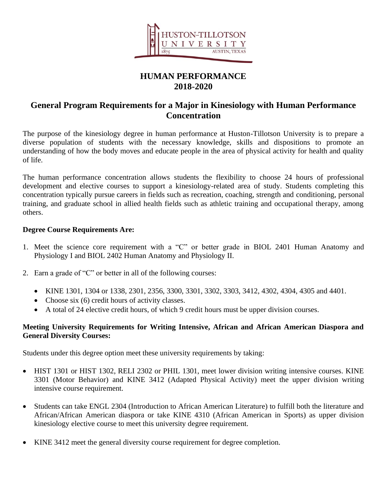

# **HUMAN PERFORMANCE 2018-2020**

## **General Program Requirements for a Major in Kinesiology with Human Performance Concentration**

The purpose of the kinesiology degree in human performance at Huston-Tillotson University is to prepare a diverse population of students with the necessary knowledge, skills and dispositions to promote an understanding of how the body moves and educate people in the area of physical activity for health and quality of life.

The human performance concentration allows students the flexibility to choose 24 hours of professional development and elective courses to support a kinesiology-related area of study. Students completing this concentration typically pursue careers in fields such as recreation, coaching, strength and conditioning, personal training, and graduate school in allied health fields such as athletic training and occupational therapy, among others.

#### **Degree Course Requirements Are:**

- 1. Meet the science core requirement with a "C" or better grade in BIOL 2401 Human Anatomy and Physiology I and BIOL 2402 Human Anatomy and Physiology II.
- 2. Earn a grade of "C" or better in all of the following courses:
	- KINE 1301, 1304 or 1338, 2301, 2356, 3300, 3301, 3302, 3303, 3412, 4302, 4304, 4305 and 4401.
	- Choose six (6) credit hours of activity classes.
	- A total of 24 elective credit hours, of which 9 credit hours must be upper division courses.

#### **Meeting University Requirements for Writing Intensive, African and African American Diaspora and General Diversity Courses:**

Students under this degree option meet these university requirements by taking:

- HIST 1301 or HIST 1302, RELI 2302 or PHIL 1301, meet lower division writing intensive courses. KINE 3301 (Motor Behavior) and KINE 3412 (Adapted Physical Activity) meet the upper division writing intensive course requirement.
- Students can take ENGL 2304 (Introduction to African American Literature) to fulfill both the literature and African/African American diaspora or take KINE 4310 (African American in Sports) as upper division kinesiology elective course to meet this university degree requirement.
- KINE 3412 meet the general diversity course requirement for degree completion.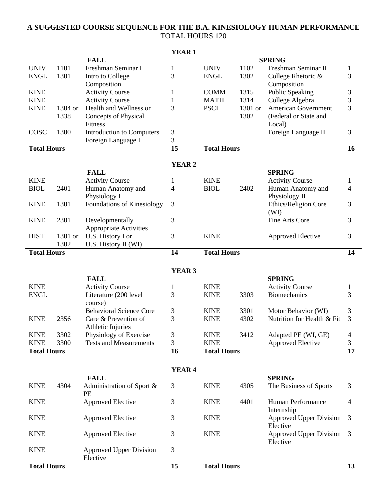#### **A SUGGESTED COURSE SEQUENCE FOR THE B.A. KINESIOLOGY HUMAN PERFORMANCE** TOTAL HOURS 120

|                    |         |                                  | <b>YEAR1</b>             |                    |         |                                |                         |
|--------------------|---------|----------------------------------|--------------------------|--------------------|---------|--------------------------------|-------------------------|
|                    |         | <b>FALL</b>                      |                          |                    |         | <b>SPRING</b>                  |                         |
| <b>UNIV</b>        | 1101    | Freshman Seminar I               | 1                        | <b>UNIV</b>        | 1102    | Freshman Seminar II            | $\mathbf{1}$            |
| <b>ENGL</b>        | 1301    | Intro to College                 | 3                        | <b>ENGL</b>        | 1302    | College Rhetoric &             | 3                       |
|                    |         | Composition                      |                          |                    |         | Composition                    |                         |
| <b>KINE</b>        |         | <b>Activity Course</b>           | 1                        | <b>COMM</b>        | 1315    | <b>Public Speaking</b>         | 3                       |
| <b>KINE</b>        |         | <b>Activity Course</b>           | 1                        | <b>MATH</b>        | 1314    | College Algebra                | 3                       |
| <b>KINE</b>        | 1304 or | Health and Wellness or           | 3                        | <b>PSCI</b>        | 1301 or | <b>American Government</b>     | 3                       |
|                    | 1338    | Concepts of Physical             |                          |                    | 1302    | (Federal or State and          |                         |
|                    |         | Fitness                          |                          |                    |         | Local)                         |                         |
| COSC               | 1300    | <b>Introduction to Computers</b> | 3                        |                    |         | Foreign Language II            | 3                       |
|                    |         | Foreign Language I               | 3                        |                    |         |                                |                         |
| <b>Total Hours</b> |         |                                  | 15                       | <b>Total Hours</b> |         |                                | 16                      |
|                    |         |                                  |                          |                    |         |                                |                         |
|                    |         |                                  | <b>YEAR 2</b>            |                    |         |                                |                         |
|                    |         | <b>FALL</b>                      |                          |                    |         | <b>SPRING</b>                  |                         |
| <b>KINE</b>        |         | <b>Activity Course</b>           | 1                        | <b>KINE</b>        |         | <b>Activity Course</b>         | 1                       |
| <b>BIOL</b>        | 2401    | Human Anatomy and                | 4                        | <b>BIOL</b>        | 2402    | Human Anatomy and              | 4                       |
|                    |         | Physiology I                     |                          |                    |         | Physiology II                  |                         |
| <b>KINE</b>        | 1301    | Foundations of Kinesiology       | 3                        |                    |         | Ethics/Religion Core           | 3                       |
|                    |         |                                  |                          |                    |         | (WI)                           |                         |
| <b>KINE</b>        | 2301    | Developmentally                  | 3                        |                    |         | Fine Arts Core                 | 3                       |
|                    |         | <b>Appropriate Activities</b>    |                          |                    |         |                                |                         |
| <b>HIST</b>        | 1301 or | U.S. History I or                | 3                        | <b>KINE</b>        |         | <b>Approved Elective</b>       | 3                       |
|                    | 1302    | U.S. History II (WI)             |                          |                    |         |                                |                         |
| <b>Total Hours</b> |         |                                  | <b>Total Hours</b><br>14 |                    |         |                                | 14                      |
|                    |         |                                  |                          |                    |         |                                |                         |
|                    |         |                                  | YEAR <sub>3</sub>        |                    |         |                                |                         |
|                    |         | <b>FALL</b>                      |                          |                    |         | <b>SPRING</b>                  |                         |
| <b>KINE</b>        |         | <b>Activity Course</b>           | $\mathbf 1$              | <b>KINE</b>        |         | <b>Activity Course</b>         | $\mathbf{1}$            |
| <b>ENGL</b>        |         | Literature (200 level            | 3                        | <b>KINE</b>        | 3303    | <b>Biomechanics</b>            | 3                       |
|                    |         | course)                          |                          |                    |         |                                |                         |
|                    |         | <b>Behavioral Science Core</b>   | 3                        | <b>KINE</b>        | 3301    | Motor Behavior (WI)            | 3                       |
| <b>KINE</b>        | 2356    | Care & Prevention of             | 3                        | <b>KINE</b>        | 4302    | Nutrition for Health & Fit     | 3                       |
|                    |         | Athletic Injuries                |                          |                    |         |                                |                         |
| <b>KINE</b>        | 3302    | Physiology of Exercise           | 3                        | <b>KINE</b>        | 3412    | Adapted PE (WI, GE)            | $\overline{4}$          |
| <b>KINE</b>        | 3300    | <b>Tests and Measurements</b>    | 3                        | <b>KINE</b>        |         | Approved Elective              | $\overline{\mathbf{3}}$ |
| <b>Total Hours</b> |         |                                  | 16                       | <b>Total Hours</b> |         |                                | 17                      |
|                    |         |                                  |                          |                    |         |                                |                         |
|                    |         |                                  |                          |                    |         |                                |                         |
|                    |         |                                  | <b>YEAR 4</b>            |                    |         |                                |                         |
|                    |         | <b>FALL</b>                      |                          |                    |         | <b>SPRING</b>                  |                         |
| <b>KINE</b>        | 4304    | Administration of Sport &        | 3                        | <b>KINE</b>        | 4305    | The Business of Sports         | 3                       |
|                    |         | <b>PE</b>                        |                          |                    |         |                                |                         |
| <b>KINE</b>        |         | Approved Elective                | 3                        | <b>KINE</b>        | 4401    | Human Performance              | 4                       |
|                    |         |                                  |                          |                    |         | Internship                     |                         |
| <b>KINE</b>        |         | <b>Approved Elective</b>         | 3                        | <b>KINE</b>        |         | <b>Approved Upper Division</b> | 3                       |
|                    |         |                                  |                          |                    |         | Elective                       |                         |
| <b>KINE</b>        |         | Approved Elective                | 3                        | <b>KINE</b>        |         | <b>Approved Upper Division</b> | 3                       |
|                    |         |                                  |                          |                    |         | Elective                       |                         |
| <b>KINE</b>        |         | <b>Approved Upper Division</b>   | 3                        |                    |         |                                |                         |
|                    |         | Elective                         |                          |                    |         |                                |                         |
| <b>Total Hours</b> |         | 15                               | <b>Total Hours</b>       |                    |         | 13                             |                         |